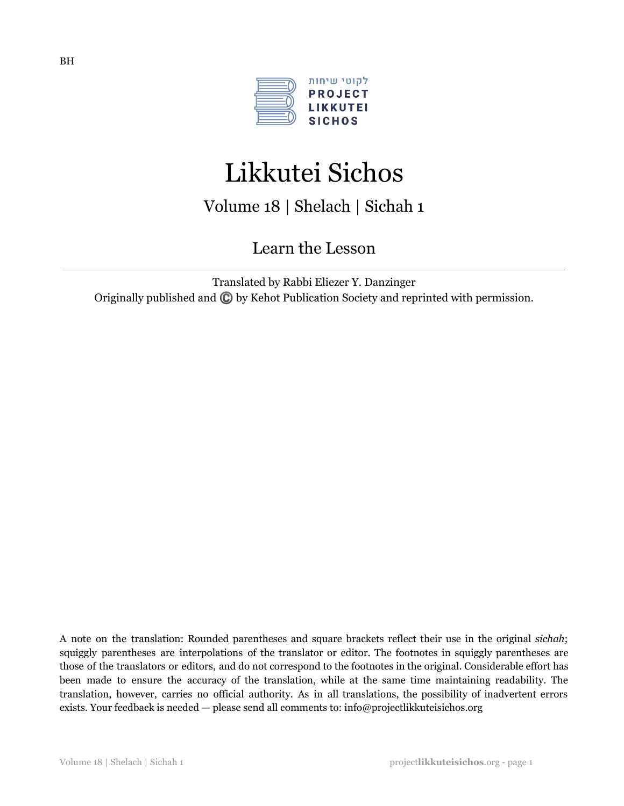

# Likkutei Sichos

Volume 18 | Shelach | Sichah 1

Learn the Lesson

Translated by Rabbi Eliezer Y. Danzinger Originally published and ©️by Kehot Publication Society and reprinted with permission.

A note on the translation: Rounded parentheses and square brackets reflect their use in the original *sichah*; squiggly parentheses are interpolations of the translator or editor. The footnotes in squiggly parentheses are those of the translators or editors, and do not correspond to the footnotes in the original. Considerable effort has been made to ensure the accuracy of the translation, while at the same time maintaining readability. The translation, however, carries no official authority. As in all translations, the possibility of inadvertent errors exists. Your feedback is needed — please send all comments to: info@projectlikkuteisichos.org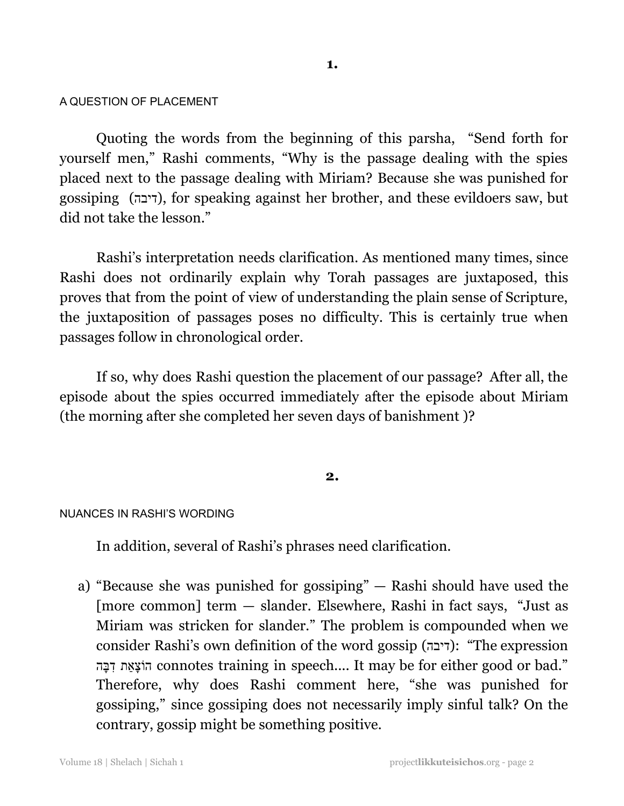#### A QUESTION OF PLACEMENT

Quoting the words from the beginning of this parsha, "Send forth for yourself men," Rashi comments, "Why is the passage dealing with the spies placed next to the passage dealing with Miriam? Because she was punished for gossiping (דיבה), for speaking against her brother, and these evildoers saw, but did not take the lesson."

Rashi's interpretation needs clarification. As mentioned many times, since Rashi does not ordinarily explain why Torah passages are juxtaposed, this proves that from the point of view of understanding the plain sense of Scripture, the juxtaposition of passages poses no difficulty. This is certainly true when passages follow in chronological order.

If so, why does Rashi question the placement of our passage? After all, the episode about the spies occurred immediately after the episode about Miriam (the morning after she completed her seven days of banishment )?

#### **2.**

#### NUANCES IN RASHI'S WORDING

In addition, several of Rashi's phrases need clarification.

a) "Because she was punished for gossiping" — Rashi should have used the [more common] term — slander. Elsewhere, Rashi in fact says, "Just as Miriam was stricken for slander." The problem is compounded when we consider Rashi's own definition of the word gossip (דיבה): "The expression הוֹצָאֵת דְּבָּה connotes training in speech.... It may be for either good or bad." Therefore, why does Rashi comment here, "she was punished for gossiping," since gossiping does not necessarily imply sinful talk? On the contrary, gossip might be something positive.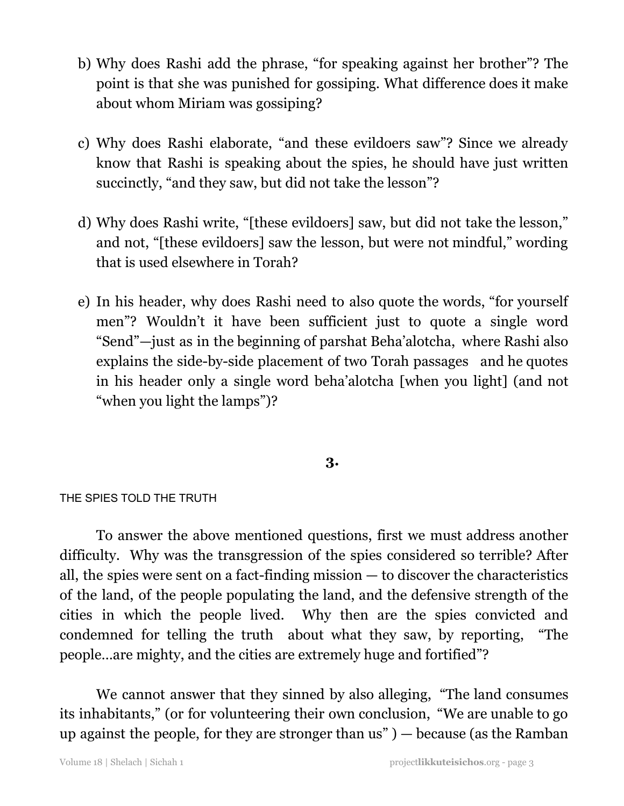- b) Why does Rashi add the phrase, "for speaking against her brother"? The point is that she was punished for gossiping. What difference does it make about whom Miriam was gossiping?
- c) Why does Rashi elaborate, "and these evildoers saw"? Since we already know that Rashi is speaking about the spies, he should have just written succinctly, "and they saw, but did not take the lesson"?
- d) Why does Rashi write, "[these evildoers] saw, but did not take the lesson," and not, "[these evildoers] saw the lesson, but were not mindful," wording that is used elsewhere in Torah?
- e) In his header, why does Rashi need to also quote the words, "for yourself men"? Wouldn't it have been sufficient just to quote a single word "Send"—just as in the beginning of parshat Beha'alotcha, where Rashi also explains the side-by-side placement of two Torah passages and he quotes in his header only a single word beha'alotcha [when you light] (and not "when you light the lamps")?

# **3.**

# THE SPIES TOLD THE TRUTH

To answer the above mentioned questions, first we must address another difficulty. Why was the transgression of the spies considered so terrible? After all, the spies were sent on a fact-finding mission — to discover the characteristics of the land, of the people populating the land, and the defensive strength of the cities in which the people lived. Why then are the spies convicted and condemned for telling the truth about what they saw, by reporting, "The people…are mighty, and the cities are extremely huge and fortified"?

We cannot answer that they sinned by also alleging, "The land consumes its inhabitants," (or for volunteering their own conclusion, "We are unable to go up against the people, for they are stronger than us" ) — because (as the Ramban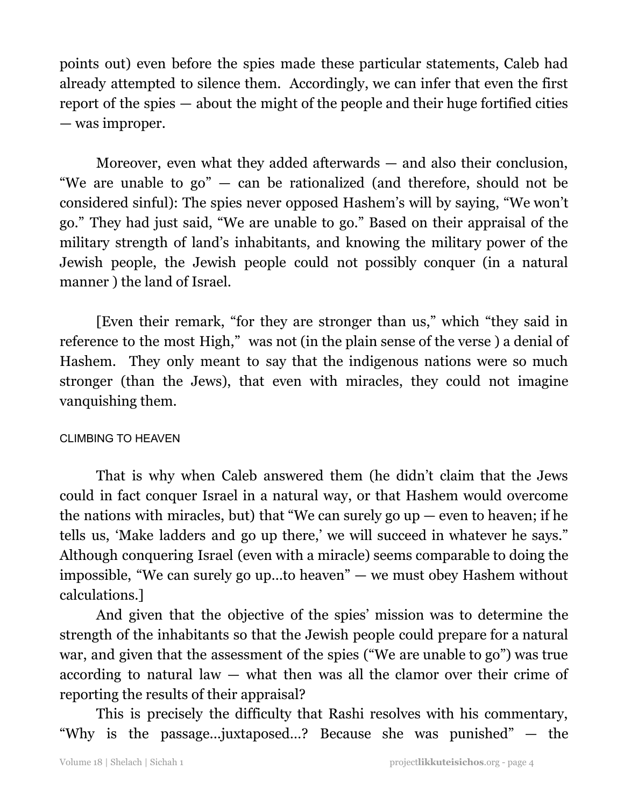points out) even before the spies made these particular statements, Caleb had already attempted to silence them. Accordingly, we can infer that even the first report of the spies — about the might of the people and their huge fortified cities — was improper.

Moreover, even what they added afterwards — and also their conclusion, "We are unable to go" — can be rationalized (and therefore, should not be considered sinful): The spies never opposed Hashem's will by saying, "We won't go." They had just said, "We are unable to go." Based on their appraisal of the military strength of land's inhabitants, and knowing the military power of the Jewish people, the Jewish people could not possibly conquer (in a natural manner ) the land of Israel.

[Even their remark, "for they are stronger than us," which "they said in reference to the most High," was not (in the plain sense of the verse ) a denial of Hashem. They only meant to say that the indigenous nations were so much stronger (than the Jews), that even with miracles, they could not imagine vanquishing them.

# CLIMBING TO HEAVEN

That is why when Caleb answered them (he didn't claim that the Jews could in fact conquer Israel in a natural way, or that Hashem would overcome the nations with miracles, but) that "We can surely go  $up$  — even to heaven; if he tells us, 'Make ladders and go up there,' we will succeed in whatever he says." Although conquering Israel (even with a miracle) seems comparable to doing the impossible, "We can surely go up…to heaven" — we must obey Hashem without calculations.]

And given that the objective of the spies' mission was to determine the strength of the inhabitants so that the Jewish people could prepare for a natural war, and given that the assessment of the spies ("We are unable to go") was true according to natural law  $-$  what then was all the clamor over their crime of reporting the results of their appraisal?

This is precisely the difficulty that Rashi resolves with his commentary, "Why is the passage...juxtaposed…? Because she was punished" — the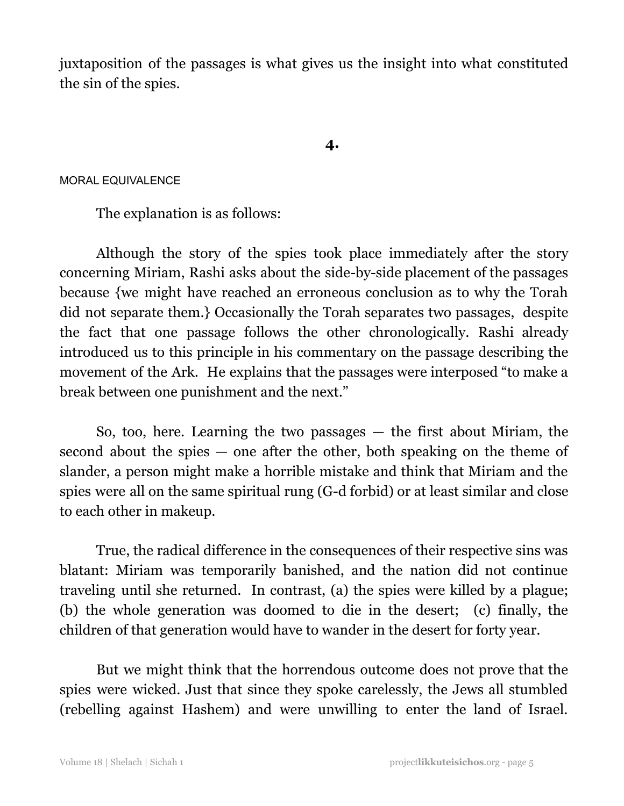juxtaposition of the passages is what gives us the insight into what constituted the sin of the spies.

## **4.**

## MORAL EQUIVALENCE

The explanation is as follows:

Although the story of the spies took place immediately after the story concerning Miriam, Rashi asks about the side-by-side placement of the passages because {we might have reached an erroneous conclusion as to why the Torah did not separate them.} Occasionally the Torah separates two passages, despite the fact that one passage follows the other chronologically. Rashi already introduced us to this principle in his commentary on the passage describing the movement of the Ark. He explains that the passages were interposed "to make a break between one punishment and the next."

So, too, here. Learning the two passages  $-$  the first about Miriam, the second about the spies — one after the other, both speaking on the theme of slander, a person might make a horrible mistake and think that Miriam and the spies were all on the same spiritual rung (G-d forbid) or at least similar and close to each other in makeup.

True, the radical difference in the consequences of their respective sins was blatant: Miriam was temporarily banished, and the nation did not continue traveling until she returned. In contrast, (a) the spies were killed by a plague; (b) the whole generation was doomed to die in the desert; (c) finally, the children of that generation would have to wander in the desert for forty year.

But we might think that the horrendous outcome does not prove that the spies were wicked. Just that since they spoke carelessly, the Jews all stumbled (rebelling against Hashem) and were unwilling to enter the land of Israel.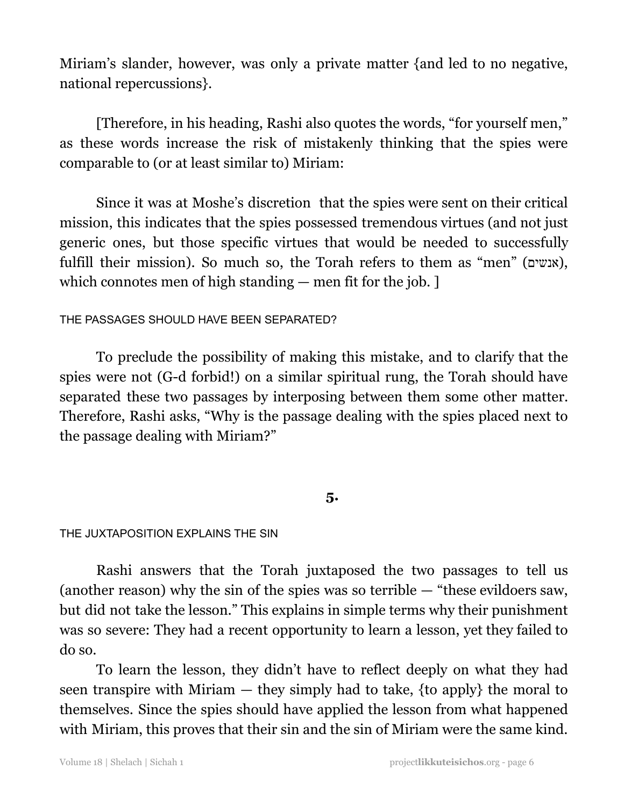Miriam's slander, however, was only a private matter {and led to no negative, national repercussions}.

[Therefore, in his heading, Rashi also quotes the words, "for yourself men," as these words increase the risk of mistakenly thinking that the spies were comparable to (or at least similar to) Miriam:

Since it was at Moshe's discretion that the spies were sent on their critical mission, this indicates that the spies possessed tremendous virtues (and not just generic ones, but those specific virtues that would be needed to successfully fulfill their mission). So much so, the Torah refers to them as "men" (אנשים), which connotes men of high standing — men fit for the job. ]

# THE PASSAGES SHOULD HAVE BEEN SEPARATED?

To preclude the possibility of making this mistake, and to clarify that the spies were not (G-d forbid!) on a similar spiritual rung, the Torah should have separated these two passages by interposing between them some other matter. Therefore, Rashi asks, "Why is the passage dealing with the spies placed next to the passage dealing with Miriam?"

# **5.**

# THE JUXTAPOSITION EXPLAINS THE SIN

Rashi answers that the Torah juxtaposed the two passages to tell us (another reason) why the sin of the spies was so terrible — "these evildoers saw, but did not take the lesson." This explains in simple terms why their punishment was so severe: They had a recent opportunity to learn a lesson, yet they failed to do so.

To learn the lesson, they didn't have to reflect deeply on what they had seen transpire with Miriam  $-$  they simply had to take, {to apply} the moral to themselves. Since the spies should have applied the lesson from what happened with Miriam, this proves that their sin and the sin of Miriam were the same kind.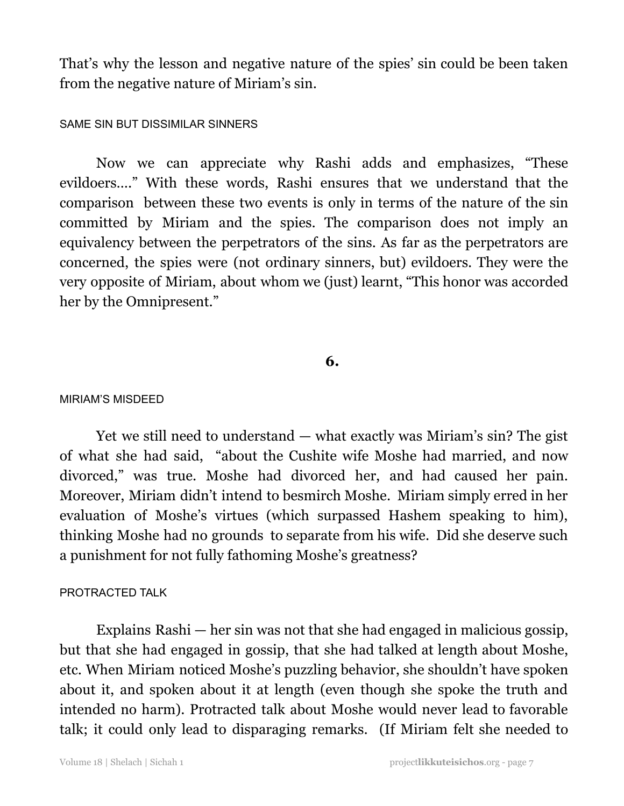That's why the lesson and negative nature of the spies' sin could be been taken from the negative nature of Miriam's sin.

## SAME SIN BUT DISSIMILAR SINNERS

Now we can appreciate why Rashi adds and emphasizes, "These evildoers…." With these words, Rashi ensures that we understand that the comparison between these two events is only in terms of the nature of the sin committed by Miriam and the spies. The comparison does not imply an equivalency between the perpetrators of the sins. As far as the perpetrators are concerned, the spies were (not ordinary sinners, but) evildoers. They were the very opposite of Miriam, about whom we (just) learnt, "This honor was accorded her by the Omnipresent."

## **6.**

#### MIRIAM'S MISDEED

Yet we still need to understand — what exactly was Miriam's sin? The gist of what she had said, "about the Cushite wife Moshe had married, and now divorced," was true. Moshe had divorced her, and had caused her pain. Moreover, Miriam didn't intend to besmirch Moshe. Miriam simply erred in her evaluation of Moshe's virtues (which surpassed Hashem speaking to him), thinking Moshe had no grounds to separate from his wife. Did she deserve such a punishment for not fully fathoming Moshe's greatness?

#### PROTRACTED TALK

Explains Rashi — her sin was not that she had engaged in malicious gossip, but that she had engaged in gossip, that she had talked at length about Moshe, etc. When Miriam noticed Moshe's puzzling behavior, she shouldn't have spoken about it, and spoken about it at length (even though she spoke the truth and intended no harm). Protracted talk about Moshe would never lead to favorable talk; it could only lead to disparaging remarks. (If Miriam felt she needed to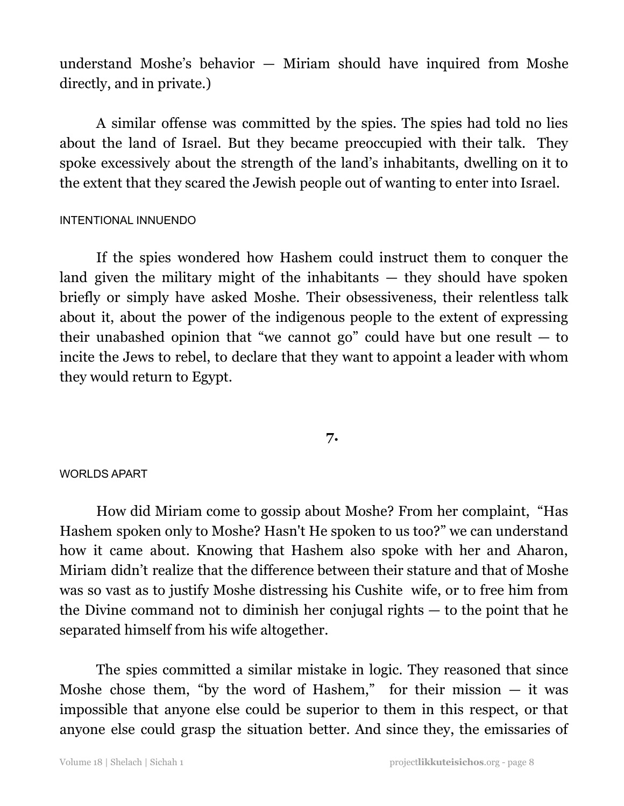understand Moshe's behavior — Miriam should have inquired from Moshe directly, and in private.)

A similar offense was committed by the spies. The spies had told no lies about the land of Israel. But they became preoccupied with their talk. They spoke excessively about the strength of the land's inhabitants, dwelling on it to the extent that they scared the Jewish people out of wanting to enter into Israel.

## INTENTIONAL INNUENDO

If the spies wondered how Hashem could instruct them to conquer the land given the military might of the inhabitants  $-$  they should have spoken briefly or simply have asked Moshe. Their obsessiveness, their relentless talk about it, about the power of the indigenous people to the extent of expressing their unabashed opinion that "we cannot go" could have but one result  $-$  to incite the Jews to rebel, to declare that they want to appoint a leader with whom they would return to Egypt.

# **7.**

## WORLDS APART

How did Miriam come to gossip about Moshe? From her complaint, "Has Hashem spoken only to Moshe? Hasn't He spoken to us too?" we can understand how it came about. Knowing that Hashem also spoke with her and Aharon, Miriam didn't realize that the difference between their stature and that of Moshe was so vast as to justify Moshe distressing his Cushite wife, or to free him from the Divine command not to diminish her conjugal rights — to the point that he separated himself from his wife altogether.

The spies committed a similar mistake in logic. They reasoned that since Moshe chose them, "by the word of Hashem," for their mission  $-$  it was impossible that anyone else could be superior to them in this respect, or that anyone else could grasp the situation better. And since they, the emissaries of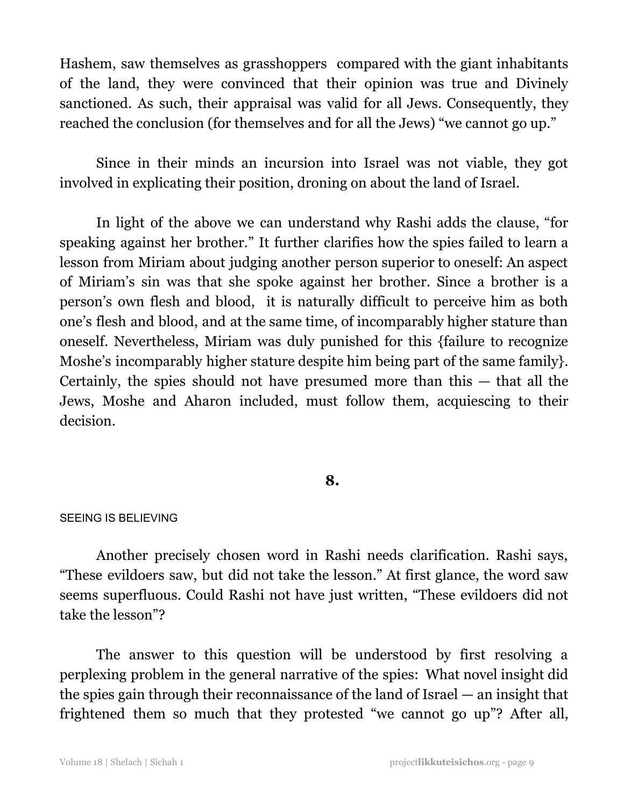Hashem, saw themselves as grasshoppers compared with the giant inhabitants of the land, they were convinced that their opinion was true and Divinely sanctioned. As such, their appraisal was valid for all Jews. Consequently, they reached the conclusion (for themselves and for all the Jews) "we cannot go up."

Since in their minds an incursion into Israel was not viable, they got involved in explicating their position, droning on about the land of Israel.

In light of the above we can understand why Rashi adds the clause, "for speaking against her brother." It further clarifies how the spies failed to learn a lesson from Miriam about judging another person superior to oneself: An aspect of Miriam's sin was that she spoke against her brother. Since a brother is a person's own flesh and blood, it is naturally difficult to perceive him as both one's flesh and blood, and at the same time, of incomparably higher stature than oneself. Nevertheless, Miriam was duly punished for this {failure to recognize Moshe's incomparably higher stature despite him being part of the same family}. Certainly, the spies should not have presumed more than this — that all the Jews, Moshe and Aharon included, must follow them, acquiescing to their decision.

# **8.**

#### SEEING IS BELIEVING

Another precisely chosen word in Rashi needs clarification. Rashi says, "These evildoers saw, but did not take the lesson." At first glance, the word saw seems superfluous. Could Rashi not have just written, "These evildoers did not take the lesson"?

The answer to this question will be understood by first resolving a perplexing problem in the general narrative of the spies: What novel insight did the spies gain through their reconnaissance of the land of Israel — an insight that frightened them so much that they protested "we cannot go up"? After all,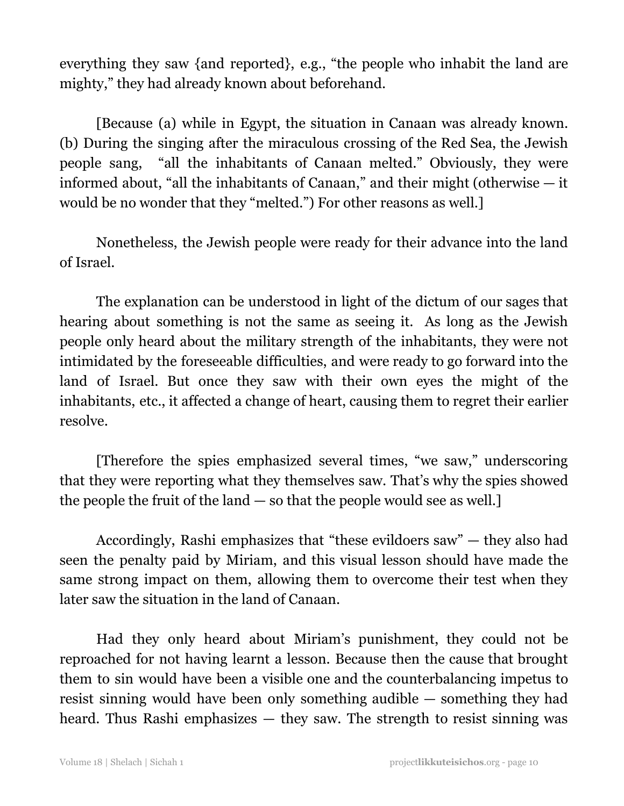everything they saw {and reported}, e.g., "the people who inhabit the land are mighty," they had already known about beforehand.

[Because (a) while in Egypt, the situation in Canaan was already known. (b) During the singing after the miraculous crossing of the Red Sea, the Jewish people sang, "all the inhabitants of Canaan melted." Obviously, they were informed about, "all the inhabitants of Canaan," and their might (otherwise — it would be no wonder that they "melted.") For other reasons as well.]

Nonetheless, the Jewish people were ready for their advance into the land of Israel.

The explanation can be understood in light of the dictum of our sages that hearing about something is not the same as seeing it. As long as the Jewish people only heard about the military strength of the inhabitants, they were not intimidated by the foreseeable difficulties, and were ready to go forward into the land of Israel. But once they saw with their own eyes the might of the inhabitants, etc., it affected a change of heart, causing them to regret their earlier resolve.

[Therefore the spies emphasized several times, "we saw," underscoring that they were reporting what they themselves saw. That's why the spies showed the people the fruit of the land — so that the people would see as well.]

Accordingly, Rashi emphasizes that "these evildoers saw" — they also had seen the penalty paid by Miriam, and this visual lesson should have made the same strong impact on them, allowing them to overcome their test when they later saw the situation in the land of Canaan.

Had they only heard about Miriam's punishment, they could not be reproached for not having learnt a lesson. Because then the cause that brought them to sin would have been a visible one and the counterbalancing impetus to resist sinning would have been only something audible — something they had heard. Thus Rashi emphasizes — they saw. The strength to resist sinning was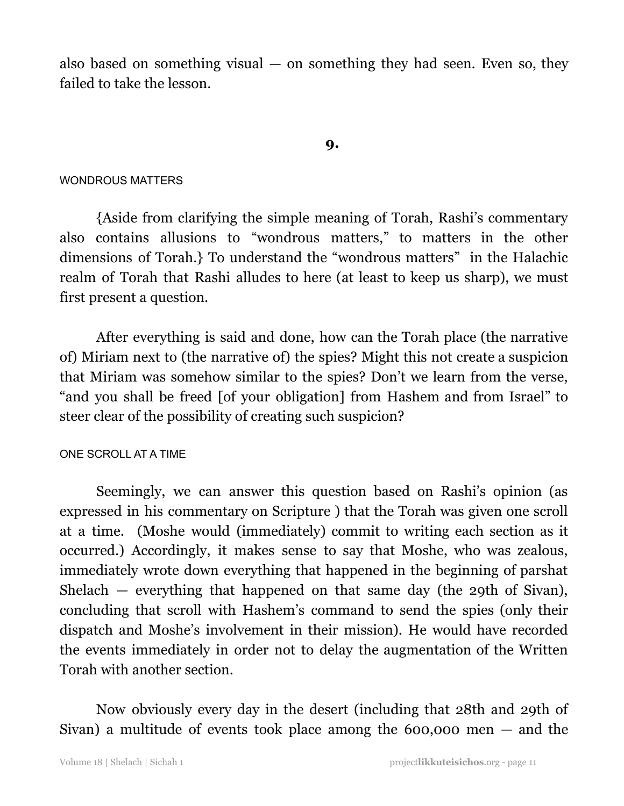also based on something visual  $-$  on something they had seen. Even so, they failed to take the lesson.

## **9.**

## WONDROUS MATTERS

{Aside from clarifying the simple meaning of Torah, Rashi's commentary also contains allusions to "wondrous matters," to matters in the other dimensions of Torah.} To understand the "wondrous matters" in the Halachic realm of Torah that Rashi alludes to here (at least to keep us sharp), we must first present a question.

After everything is said and done, how can the Torah place (the narrative of) Miriam next to (the narrative of) the spies? Might this not create a suspicion that Miriam was somehow similar to the spies? Don't we learn from the verse, "and you shall be freed [of your obligation] from Hashem and from Israel" to steer clear of the possibility of creating such suspicion?

## ONE SCROLL AT A TIME

Seemingly, we can answer this question based on Rashi's opinion (as expressed in his commentary on Scripture ) that the Torah was given one scroll at a time. (Moshe would (immediately) commit to writing each section as it occurred.) Accordingly, it makes sense to say that Moshe, who was zealous, immediately wrote down everything that happened in the beginning of parshat Shelach — everything that happened on that same day (the 29th of Sivan), concluding that scroll with Hashem's command to send the spies (only their dispatch and Moshe's involvement in their mission). He would have recorded the events immediately in order not to delay the augmentation of the Written Torah with another section.

Now obviously every day in the desert (including that 28th and 29th of Sivan) a multitude of events took place among the 600,000 men — and the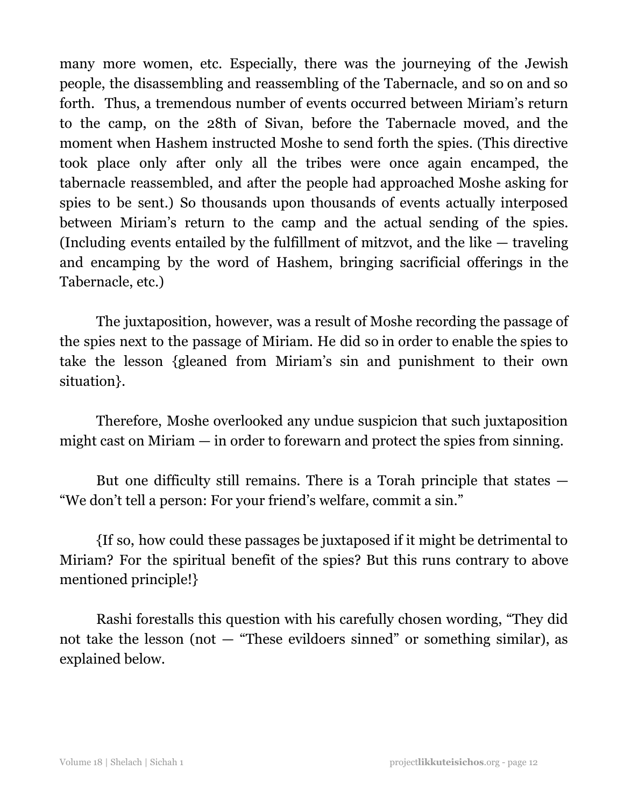many more women, etc. Especially, there was the journeying of the Jewish people, the disassembling and reassembling of the Tabernacle, and so on and so forth. Thus, a tremendous number of events occurred between Miriam's return to the camp, on the 28th of Sivan, before the Tabernacle moved, and the moment when Hashem instructed Moshe to send forth the spies. (This directive took place only after only all the tribes were once again encamped, the tabernacle reassembled, and after the people had approached Moshe asking for spies to be sent.) So thousands upon thousands of events actually interposed between Miriam's return to the camp and the actual sending of the spies. (Including events entailed by the fulfillment of mitzvot, and the like — traveling and encamping by the word of Hashem, bringing sacrificial offerings in the Tabernacle, etc.)

The juxtaposition, however, was a result of Moshe recording the passage of the spies next to the passage of Miriam. He did so in order to enable the spies to take the lesson {gleaned from Miriam's sin and punishment to their own situation}.

Therefore, Moshe overlooked any undue suspicion that such juxtaposition might cast on Miriam — in order to forewarn and protect the spies from sinning.

But one difficulty still remains. There is a Torah principle that states — "We don't tell a person: For your friend's welfare, commit a sin."

{If so, how could these passages be juxtaposed if it might be detrimental to Miriam? For the spiritual benefit of the spies? But this runs contrary to above mentioned principle!}

Rashi forestalls this question with his carefully chosen wording, "They did not take the lesson (not  $-$  "These evildoers sinned" or something similar), as explained below.